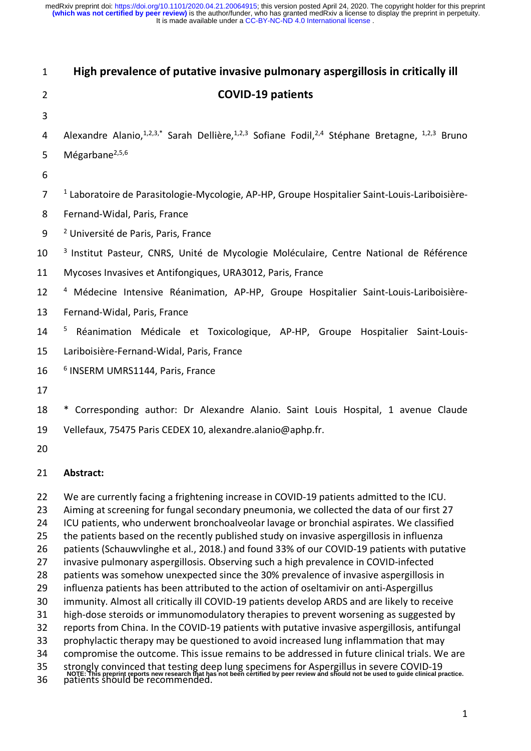| 1                          | High prevalence of putative invasive pulmonary aspergillosis in critically ill                                                                                                                                                                                                                                                                                                                                                                                                 |  |  |
|----------------------------|--------------------------------------------------------------------------------------------------------------------------------------------------------------------------------------------------------------------------------------------------------------------------------------------------------------------------------------------------------------------------------------------------------------------------------------------------------------------------------|--|--|
| $\overline{2}$             | <b>COVID-19 patients</b>                                                                                                                                                                                                                                                                                                                                                                                                                                                       |  |  |
| 3                          |                                                                                                                                                                                                                                                                                                                                                                                                                                                                                |  |  |
| 4                          | Alexandre Alanio, <sup>1,2,3,*</sup> Sarah Dellière, <sup>1,2,3</sup> Sofiane Fodil, <sup>2,4</sup> Stéphane Bretagne, <sup>1,2,3</sup> Bruno                                                                                                                                                                                                                                                                                                                                  |  |  |
| 5                          | Mégarbane <sup>2,5,6</sup>                                                                                                                                                                                                                                                                                                                                                                                                                                                     |  |  |
| 6                          |                                                                                                                                                                                                                                                                                                                                                                                                                                                                                |  |  |
| 7                          | <sup>1</sup> Laboratoire de Parasitologie-Mycologie, AP-HP, Groupe Hospitalier Saint-Louis-Lariboisière-                                                                                                                                                                                                                                                                                                                                                                       |  |  |
| 8                          | Fernand-Widal, Paris, France                                                                                                                                                                                                                                                                                                                                                                                                                                                   |  |  |
| 9                          | <sup>2</sup> Université de Paris, Paris, France                                                                                                                                                                                                                                                                                                                                                                                                                                |  |  |
| 10                         | <sup>3</sup> Institut Pasteur, CNRS, Unité de Mycologie Moléculaire, Centre National de Référence                                                                                                                                                                                                                                                                                                                                                                              |  |  |
| 11                         | Mycoses Invasives et Antifongiques, URA3012, Paris, France                                                                                                                                                                                                                                                                                                                                                                                                                     |  |  |
| 12                         | <sup>4</sup> Médecine Intensive Réanimation, AP-HP, Groupe Hospitalier Saint-Louis-Lariboisière-                                                                                                                                                                                                                                                                                                                                                                               |  |  |
| 13                         | Fernand-Widal, Paris, France                                                                                                                                                                                                                                                                                                                                                                                                                                                   |  |  |
| 14                         | $\overline{\mathbf{5}}$<br>Réanimation Médicale et Toxicologique, AP-HP, Groupe Hospitalier Saint-Louis-                                                                                                                                                                                                                                                                                                                                                                       |  |  |
| 15                         | Lariboisière-Fernand-Widal, Paris, France                                                                                                                                                                                                                                                                                                                                                                                                                                      |  |  |
| 16                         | <sup>6</sup> INSERM UMRS1144, Paris, France                                                                                                                                                                                                                                                                                                                                                                                                                                    |  |  |
| 17                         |                                                                                                                                                                                                                                                                                                                                                                                                                                                                                |  |  |
| 18                         | * Corresponding author: Dr Alexandre Alanio. Saint Louis Hospital, 1 avenue Claude                                                                                                                                                                                                                                                                                                                                                                                             |  |  |
| 19                         | Vellefaux, 75475 Paris CEDEX 10, alexandre.alanio@aphp.fr.                                                                                                                                                                                                                                                                                                                                                                                                                     |  |  |
| 20                         |                                                                                                                                                                                                                                                                                                                                                                                                                                                                                |  |  |
| 21                         | Abstract:                                                                                                                                                                                                                                                                                                                                                                                                                                                                      |  |  |
| 22<br>23<br>24<br>25<br>26 | We are currently facing a frightening increase in COVID-19 patients admitted to the ICU.<br>Aiming at screening for fungal secondary pneumonia, we collected the data of our first 27<br>ICU patients, who underwent bronchoalveolar lavage or bronchial aspirates. We classified<br>the patients based on the recently published study on invasive aspergillosis in influenza<br>patients (Schauwvlinghe et al., 2018.) and found 33% of our COVID-19 patients with putative  |  |  |
| 27<br>28<br>29             | invasive pulmonary aspergillosis. Observing such a high prevalence in COVID-infected<br>patients was somehow unexpected since the 30% prevalence of invasive aspergillosis in<br>influenza patients has been attributed to the action of oseltamivir on anti-Aspergillus                                                                                                                                                                                                       |  |  |
| 30<br>31<br>32<br>33<br>34 | immunity. Almost all critically ill COVID-19 patients develop ARDS and are likely to receive<br>high-dose steroids or immunomodulatory therapies to prevent worsening as suggested by<br>reports from China. In the COVID-19 patients with putative invasive aspergillosis, antifungal<br>prophylactic therapy may be questioned to avoid increased lung inflammation that may<br>compromise the outcome. This issue remains to be addressed in future clinical trials. We are |  |  |

- 35 strongly convinced that testing deep lung specimens for Aspergillus in severe COVID-19 NOTE: This preprint reports new research that has not been certified by peer review and should not be used to guide clinical practice.<br>36 patients should be recommended.
-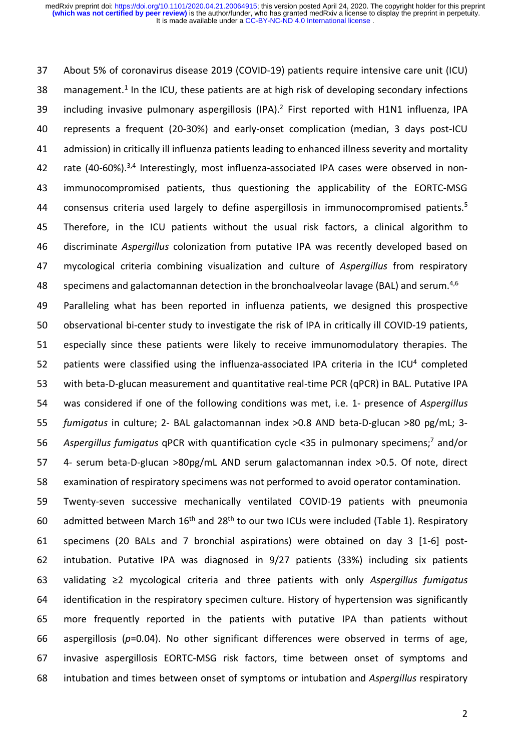About 5% of coronavirus disease 2019 (COVID-19) patients require intensive care unit (ICU)  $\_$  management.<sup>1</sup> In the ICU, these patients are at high risk of developing secondary infections 39 including invasive pulmonary aspergillosis (IPA).<sup>2</sup> First reported with H1N1 influenza, IPA represents a frequent (20-30%) and early-onset complication (median, 3 days post-ICU admission) in critically ill influenza patients leading to enhanced illness severity and mortality 42 rate (40-60%).<sup>3,4</sup> Interestingly, most influenza-associated IPA cases were observed in non- immunocompromised patients, thus questioning the applicability of the EORTC-MSG 44 consensus criteria used largely to define aspergillosis in immunocompromised patients.<sup>5</sup> Therefore, in the ICU patients without the usual risk factors, a clinical algorithm to discriminate *Aspergillus* colonization from putative IPA was recently developed based on mycological criteria combining visualization and culture of *Aspergillus* from respiratory 48 specimens and galactomannan detection in the bronchoalveolar lavage (BAL) and serum.<sup>4,6</sup>

 Paralleling what has been reported in influenza patients, we designed this prospective observational bi-center study to investigate the risk of IPA in critically ill COVID-19 patients, especially since these patients were likely to receive immunomodulatory therapies. The 52 patients were classified using the influenza-associated IPA criteria in the ICU<sup>4</sup> completed with beta-D-glucan measurement and quantitative real-time PCR (qPCR) in BAL. Putative IPA was considered if one of the following conditions was met, i.e. 1- presence of *Aspergillus fumigatus* in culture; 2- BAL galactomannan index >0.8 AND beta-D-glucan >80 pg/mL; 3- 56 Aspergillus fumigatus qPCR with quantification cycle <35 in pulmonary specimens;<sup>7</sup> and/or 4- serum beta-D-glucan >80pg/mL AND serum galactomannan index >0.5. Of note, direct examination of respiratory specimens was not performed to avoid operator contamination.

 Twenty-seven successive mechanically ventilated COVID-19 patients with pneumonia 60 admitted between March  $16<sup>th</sup>$  and  $28<sup>th</sup>$  to our two ICUs were included (Table 1). Respiratory specimens (20 BALs and 7 bronchial aspirations) were obtained on day 3 [1-6] post- intubation. Putative IPA was diagnosed in 9/27 patients (33%) including six patients validating ≥2 mycological criteria and three patients with only *Aspergillus fumigatus* identification in the respiratory specimen culture. History of hypertension was significantly more frequently reported in the patients with putative IPA than patients without aspergillosis (*p*=0.04). No other significant differences were observed in terms of age, invasive aspergillosis EORTC-MSG risk factors, time between onset of symptoms and intubation and times between onset of symptoms or intubation and *Aspergillus* respiratory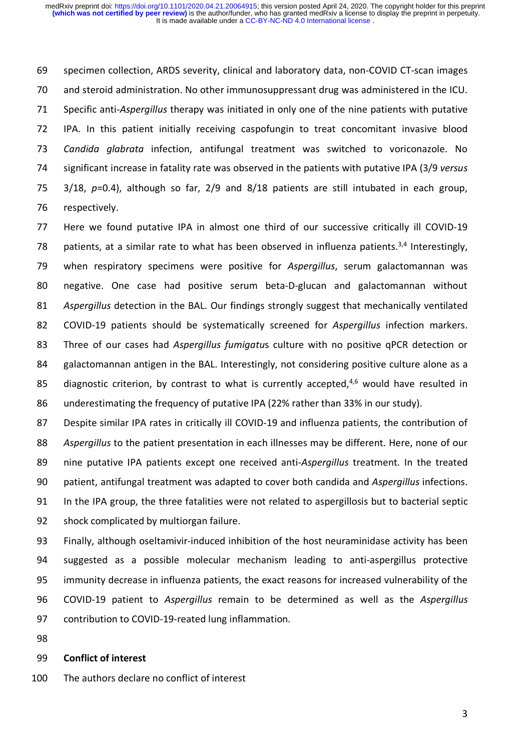specimen collection, ARDS severity, clinical and laboratory data, non-COVID CT-scan images and steroid administration. No other immunosuppressant drug was administered in the ICU. Specific anti-*Aspergillus* therapy was initiated in only one of the nine patients with putative IPA. In this patient initially receiving caspofungin to treat concomitant invasive blood *Candida glabrata* infection, antifungal treatment was switched to voriconazole. No significant increase in fatality rate was observed in the patients with putative IPA (3/9 *versus* 3/18, *p*=0.4), although so far, 2/9 and 8/18 patients are still intubated in each group, respectively.

 Here we found putative IPA in almost one third of our successive critically ill COVID-19 78 patients, at a similar rate to what has been observed in influenza patients.<sup>3,4</sup> Interestingly, when respiratory specimens were positive for *Aspergillus*, serum galactomannan was negative. One case had positive serum beta-D-glucan and galactomannan without *Aspergillus* detection in the BAL. Our findings strongly suggest that mechanically ventilated COVID-19 patients should be systematically screened for *Aspergillus* infection markers. Three of our cases had *Aspergillus fumigatu*s culture with no positive qPCR detection or galactomannan antigen in the BAL. Interestingly, not considering positive culture alone as a 85 diagnostic criterion, by contrast to what is currently accepted, $4,6$  would have resulted in underestimating the frequency of putative IPA (22% rather than 33% in our study).

 Despite similar IPA rates in critically ill COVID-19 and influenza patients, the contribution of *Aspergillus* to the patient presentation in each illnesses may be different. Here, none of our nine putative IPA patients except one received anti-*Aspergillus* treatment. In the treated patient, antifungal treatment was adapted to cover both candida and *Aspergillus* infections. In the IPA group, the three fatalities were not related to aspergillosis but to bacterial septic shock complicated by multiorgan failure.

 Finally, although oseltamivir-induced inhibition of the host neuraminidase activity has been suggested as a possible molecular mechanism leading to anti-aspergillus protective immunity decrease in influenza patients, the exact reasons for increased vulnerability of the COVID-19 patient to *Aspergillus* remain to be determined as well as the *Aspergillus* contribution to COVID-19-reated lung inflammation.

## **Conflict of interest**

The authors declare no conflict of interest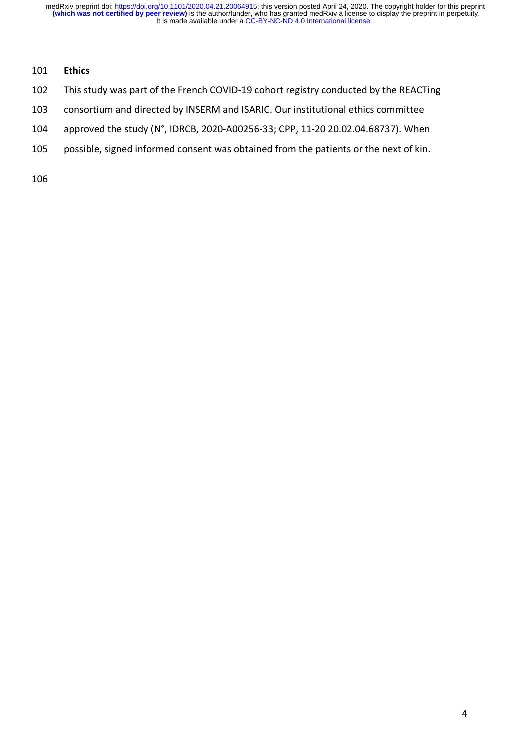## **Ethics**

- This study was part of the French COVID-19 cohort registry conducted by the REACTing
- consortium and directed by INSERM and ISARIC. Our institutional ethics committee
- approved the study (N°, IDRCB, 2020-A00256-33; CPP, 11-20 20.02.04.68737). When
- possible, signed informed consent was obtained from the patients or the next of kin.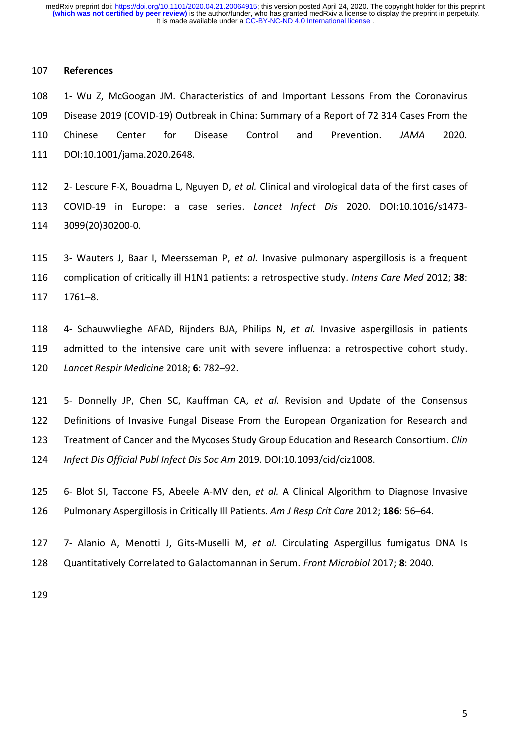## **References**

 1- Wu Z, McGoogan JM. Characteristics of and Important Lessons From the Coronavirus Disease 2019 (COVID-19) Outbreak in China: Summary of a Report of 72 314 Cases From the Chinese Center for Disease Control and Prevention. *JAMA* 2020. DOI:10.1001/jama.2020.2648.

 2- Lescure F-X, Bouadma L, Nguyen D, *et al.* Clinical and virological data of the first cases of COVID-19 in Europe: a case series. *Lancet Infect Dis* 2020. DOI:10.1016/s1473- 3099(20)30200-0.

 3- Wauters J, Baar I, Meersseman P, *et al.* Invasive pulmonary aspergillosis is a frequent complication of critically ill H1N1 patients: a retrospective study. *Intens Care Med* 2012; **38**: 1761–8.

 4- Schauwvlieghe AFAD, Rijnders BJA, Philips N, *et al.* Invasive aspergillosis in patients admitted to the intensive care unit with severe influenza: a retrospective cohort study. *Lancet Respir Medicine* 2018; **6**: 782–92.

 5- Donnelly JP, Chen SC, Kauffman CA, *et al.* Revision and Update of the Consensus Definitions of Invasive Fungal Disease From the European Organization for Research and Treatment of Cancer and the Mycoses Study Group Education and Research Consortium. *Clin Infect Dis Official Publ Infect Dis Soc Am* 2019. DOI:10.1093/cid/ciz1008.

 6- Blot SI, Taccone FS, Abeele A-MV den, *et al.* A Clinical Algorithm to Diagnose Invasive Pulmonary Aspergillosis in Critically Ill Patients. *Am J Resp Crit Care* 2012; **186**: 56–64.

 7- Alanio A, Menotti J, Gits-Muselli M, *et al.* Circulating Aspergillus fumigatus DNA Is Quantitatively Correlated to Galactomannan in Serum. *Front Microbiol* 2017; **8**: 2040.